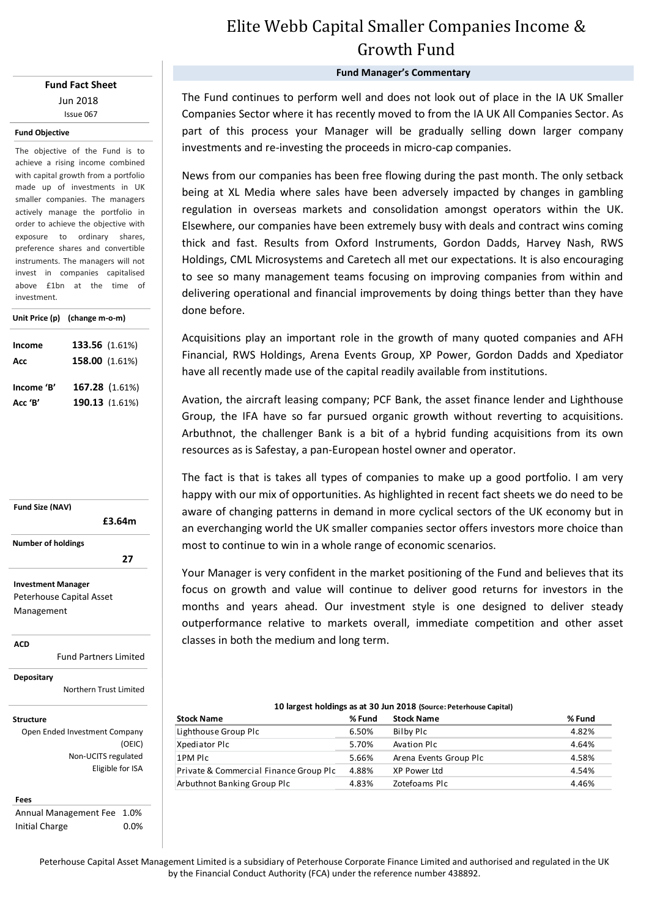## **Fund Fact Sheet** Jun 2018 Issue 067

### **Fund Objective**

The objective of the Fund is to achieve a rising income combined with capital growth from a portfolio made up of investments in UK smaller companies. The managers actively manage the portfolio in order to achieve the objective with exposure to ordinary shares, preference shares and convertible instruments. The managers will not invest in companies capitalised above £1bn at the time of investment.

|            | Unit Price (p) (change m-o-m) |  |  |  |
|------------|-------------------------------|--|--|--|
| Income     | 133.56 (1.61%)                |  |  |  |
| Acc        | 158.00 (1.61%)                |  |  |  |
| Income 'B' | 167.28 (1.61%)                |  |  |  |
| Acc 'B'    | 190.13 (1.61%)                |  |  |  |



**ACD**

Fund Partners Limited

**Depositary**

Northern Trust Limited

### **Structure**

Open Ended Investment Company (OEIC) Non-UCITS regulated Eligible for ISA

#### **Fees**

Annual Management Fee 1.0% Initial Charge 0.0%

# Elite Webb Capital Smaller Companies Income & Growth Fund

## **Fund Manager's Commentary**

The Fund continues to perform well and does not look out of place in the IA UK Smaller Companies Sector where it has recently moved to from the IA UK All Companies Sector. As part of this process your Manager will be gradually selling down larger company investments and re-investing the proceeds in micro-cap companies.

News from our companies has been free flowing during the past month. The only setback being at XL Media where sales have been adversely impacted by changes in gambling regulation in overseas markets and consolidation amongst operators within the UK. Elsewhere, our companies have been extremely busy with deals and contract wins coming thick and fast. Results from Oxford Instruments, Gordon Dadds, Harvey Nash, RWS Holdings, CML Microsystems and Caretech all met our expectations. It is also encouraging to see so many management teams focusing on improving companies from within and delivering operational and financial improvements by doing things better than they have done before.

Acquisitions play an important role in the growth of many quoted companies and AFH Financial, RWS Holdings, Arena Events Group, XP Power, Gordon Dadds and Xpediator have all recently made use of the capital readily available from institutions.

Avation, the aircraft leasing company; PCF Bank, the asset finance lender and Lighthouse Group, the IFA have so far pursued organic growth without reverting to acquisitions. Arbuthnot, the challenger Bank is a bit of a hybrid funding acquisitions from its own resources as is Safestay, a pan-European hostel owner and operator.

The fact is that is takes all types of companies to make up a good portfolio. I am very happy with our mix of opportunities. As highlighted in recent fact sheets we do need to be aware of changing patterns in demand in more cyclical sectors of the UK economy but in an everchanging world the UK smaller companies sector offers investors more choice than most to continue to win in a whole range of economic scenarios.

Your Manager is very confident in the market positioning of the Fund and believes that its focus on growth and value will continue to deliver good returns for investors in the months and years ahead. Our investment style is one designed to deliver steady outperformance relative to markets overall, immediate competition and other asset classes in both the medium and long term.

### **Stock Name Stock Name** Lighthouse Group Plc 6.50% Bilby Plc 4.82% Xpediator Plc 64.64% Avation Plc 5.70% Avation Plc 4.64% 1PM Plc 5.66% Arena Events Group Plc 4.58% Private & Commercial Finance Group Plc 4.88% XP Power Ltd 4.54% Arbuthnot Banking Group Plc  $4.83\%$  Zotefoams Plc  $4.46\%$ **% Fund 10 largest holdings as at 30 Jun 2018 (Source: Peterhouse Capital) % Fund**

Peterhouse Capital Asset Management Limited is a subsidiary of Peterhouse Corporate Finance Limited and authorised and regulated in the UK by the Financial Conduct Authority (FCA) under the reference number 438892.